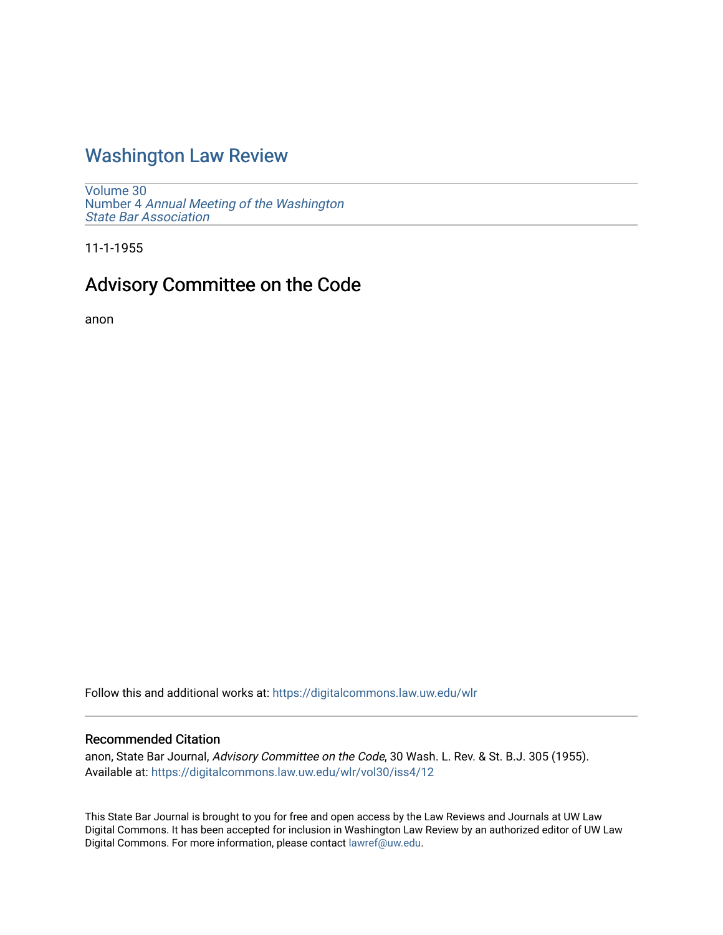## [Washington Law Review](https://digitalcommons.law.uw.edu/wlr)

[Volume 30](https://digitalcommons.law.uw.edu/wlr/vol30) Number 4 [Annual Meeting of the Washington](https://digitalcommons.law.uw.edu/wlr/vol30/iss4) [State Bar Association](https://digitalcommons.law.uw.edu/wlr/vol30/iss4)

11-1-1955

# Advisory Committee on the Code

anon

Follow this and additional works at: [https://digitalcommons.law.uw.edu/wlr](https://digitalcommons.law.uw.edu/wlr?utm_source=digitalcommons.law.uw.edu%2Fwlr%2Fvol30%2Fiss4%2F12&utm_medium=PDF&utm_campaign=PDFCoverPages)

### Recommended Citation

anon, State Bar Journal, Advisory Committee on the Code, 30 Wash. L. Rev. & St. B.J. 305 (1955). Available at: [https://digitalcommons.law.uw.edu/wlr/vol30/iss4/12](https://digitalcommons.law.uw.edu/wlr/vol30/iss4/12?utm_source=digitalcommons.law.uw.edu%2Fwlr%2Fvol30%2Fiss4%2F12&utm_medium=PDF&utm_campaign=PDFCoverPages) 

This State Bar Journal is brought to you for free and open access by the Law Reviews and Journals at UW Law Digital Commons. It has been accepted for inclusion in Washington Law Review by an authorized editor of UW Law Digital Commons. For more information, please contact [lawref@uw.edu.](mailto:lawref@uw.edu)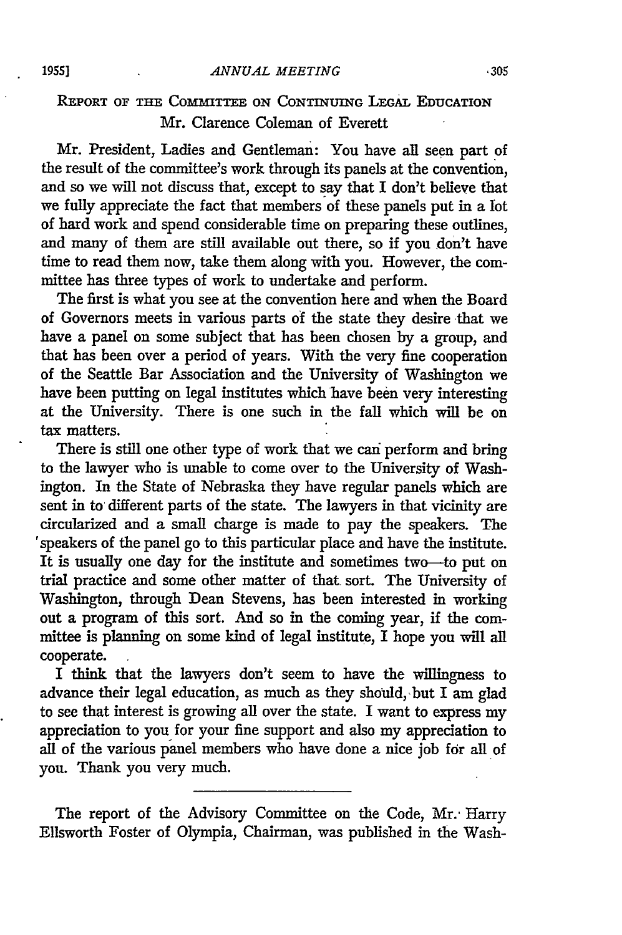#### *ANNUAL MEETING*

### REPORT **OF** THE COMMITTEE **ON CONTINUING LEGAL** EDUCATION Mr. Clarence Coleman of Everett

Mr. President, Ladies and Gentleman: You have all seen part of the result of the committee's work through its panels at the convention, and so we will not discuss that, except to say that **I** don't believe that we fully appreciate the fact that members of these panels put in a lot of hard work and spend considerable time on preparing these outlines, and many of them are still available out there, so if you don't have time to read them now, take them along with you. However, the committee has three types of work to undertake and perform.

The first is what you see at the convention here and when the Board of Governors meets in various parts of the state they desire that we have a panel on some subject that has been chosen **by** a group, and that has been over a period of years. With the very fine cooperation of the Seattle Bar Association and the University of Washington we have been putting on legal institutes which have been very interesting at the University. There is one such in the fall which will be on tax matters.

There is still one other type of work that we can perform and bring to the lawyer who is unable to come over to the University of Washington. In the State of Nebraska they have regular panels which are sent in to different parts of the state. The lawyers in that vicinity are circularized and a small charge is made to pay the speakers. The speakers of the panel go to this particular place and have the institute. It is usually one day for the institute and sometimes two--to put on trial practice and some other matter of that sort. The University of Washington, through Dean Stevens, has been interested in working out a program of this sort. And so in the coming year, if the committee is planning on some kind of legal institute, I hope you will all cooperate.

I think that the lawyers don't seem to have the willingness to advance their legal education, as much as they should, but I am glad to see that interest is growing all over the state. I want to express my appreciation to you for your fine support and also my appreciation to all of the various panel members who have done a nice job for all of you. Thank you very much.

The report of the Advisory Committee on the Code, Mr.' Harry Ellsworth Foster of Olympia, Chairman, was published in the Wash